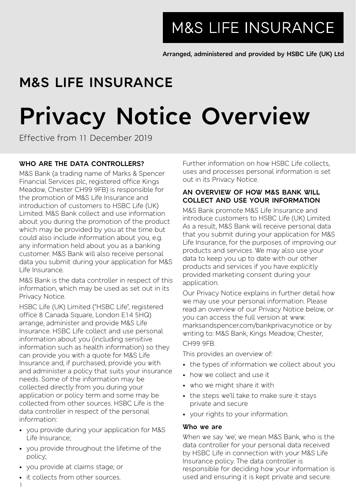**M&S LIFE INSURANCE** 

**Arranged, administered and provided by HSBC Life (UK) Ltd**

# **M&S LIFE INSURANCE**

# **Privacy Notice Overview**

Effective from 11 December 2019

# **WHO ARE THE DATA CONTROLLERS?**

M&S Bank (a trading name of Marks & Spencer Financial Services plc, registered office Kings Meadow, Chester CH99 9FB) is responsible for the promotion of M&S Life Insurance and introduction of customers to HSBC Life (UK) Limited. M&S Bank collect and use information about you during the promotion of the product which may be provided by you at the time but could also include information about you, e.g. any information held about you as a banking customer. M&S Bank will also receive personal data you submit during your application for M&S Life Insurance.

M&S Bank is the data controller in respect of this information, which may be used as set out in its Privacy Notice.

HSBC Life (UK) Limited ("HSBC Life", registered office 8 Canada Square, London E14 5HQ) arrange, administer and provide M&S Life Insurance. HSBC Life collect and use personal information about you (including sensitive information such as health information) so they can provide you with a quote for M&S Life Insurance and, if purchased, provide you with and administer a policy that suits your insurance needs. Some of the information may be collected directly from you during your application or policy term and some may be collected from other sources. HSBC Life is the data controller in respect of the personal information:

- you provide during your application for M&S Life Insurance;
- you provide throughout the lifetime of the policy;
- you provide at claims stage; or
- it collects from other sources.

Further information on how HSBC Life collects, uses and processes personal information is set out in its Privacy Notice.

# **AN OVERVIEW OF HOW M&S BANK WILL COLLECT AND USE YOUR INFORMATION**

M&S Bank promote M&S Life Insurance and introduce customers to HSBC Life (UK) Limited. As a result, M&S Bank will receive personal data that you submit during your application for M&S Life Insurance, for the purposes of improving our products and services. We may also use your data to keep you up to date with our other products and services if you have explicitly provided marketing consent during your application.

Our Privacy Notice explains in further detail how we may use your personal information. Please read an overview of our Privacy Notice below, or you can access the full version at www. marksandspencer.com/bankprivacynotice or by writing to: M&S Bank, Kings Meadow, Chester, CH99 9FB.

This provides an overview of:

- the types of information we collect about you
- how we collect and use it
- who we might share it with
- the steps we'll take to make sure it stays private and secure
- your rights to your information.

#### **Who we are**

When we say 'we', we mean M&S Bank, who is the data controller for your personal data received by HSBC Life in connection with your M&S Life Insurance policy. The data controller is responsible for deciding how your information is used and ensuring it is kept private and secure.

1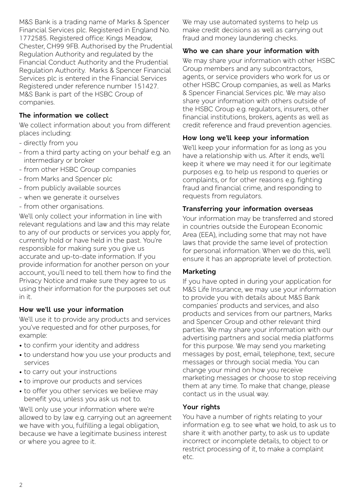M&S Bank is a trading name of Marks & Spencer Financial Services plc. Registered in England No. 1772585. Registered office: Kings Meadow, Chester, CH99 9FB. Authorised by the Prudential Regulation Authority and regulated by the Financial Conduct Authority and the Prudential Regulation Authority. Marks & Spencer Financial Services plc is entered in the Financial Services Registered under reference number 151427. M&S Bank is part of the HSBC Group of companies.

# **The information we collect**

We collect information about you from different places including:

- directly from you
- from a third party acting on your behalf e.g. an intermediary or broker
- from other HSBC Group companies
- from Marks and Spencer plc
- from publicly available sources
- when we generate it ourselves
- from other organisations.

We'll only collect your information in line with relevant regulations and law and this may relate to any of our products or services you apply for, currently hold or have held in the past. You're responsible for making sure you give us accurate and up-to-date information. If you provide information for another person on your account, you'll need to tell them how to find the Privacy Notice and make sure they agree to us using their information for the purposes set out in it.

#### **How we'll use your information**

We'll use it to provide any products and services you've requested and for other purposes, for example:

- to confirm your identity and address
- to understand how you use your products and services
- to carry out your instructions
- to improve our products and services
- to offer you other services we believe may benefit you, unless you ask us not to.

We'll only use your information where we're allowed to by law e.g. carrying out an agreement we have with you, fulfilling a legal obligation, because we have a legitimate business interest or where you agree to it.

We may use automated systems to help us make credit decisions as well as carrying out fraud and money laundering checks.

#### **Who we can share your information with**

We may share your information with other HSBC. Group members and any subcontractors, agents, or service providers who work for us or other HSBC Group companies, as well as Marks & Spencer Financial Services plc. We may also share your information with others outside of the HSBC Group e.g. regulators, insurers, other financial institutions, brokers, agents as well as credit reference and fraud prevention agencies.

#### **How long we'll keep your information**

We'll keep your information for as long as you have a relationship with us. After it ends, we'll keep it where we may need it for our legitimate purposes e.g. to help us respond to queries or complaints, or for other reasons e.g. fighting fraud and financial crime, and responding to requests from regulators.

# **Transferring your information overseas**

Your information may be transferred and stored in countries outside the European Economic Area (EEA), including some that may not have laws that provide the same level of protection for personal information. When we do this, we'll ensure it has an appropriate level of protection.

#### **Marketing**

If you have opted in during your application for M&S Life Insurance, we may use your information to provide you with details about M&S Bank companies' products and services, and also products and services from our partners, Marks and Spencer Group and other relevant third parties. We may share your information with our advertising partners and social media platforms for this purpose. We may send you marketing messages by post, email, telephone, text, secure messages or through social media. You can change your mind on how you receive marketing messages or choose to stop receiving them at any time. To make that change, please contact us in the usual way.

#### **Your rights**

You have a number of rights relating to your information e.g. to see what we hold, to ask us to share it with another party, to ask us to update incorrect or incomplete details, to object to or restrict processing of it, to make a complaint etc.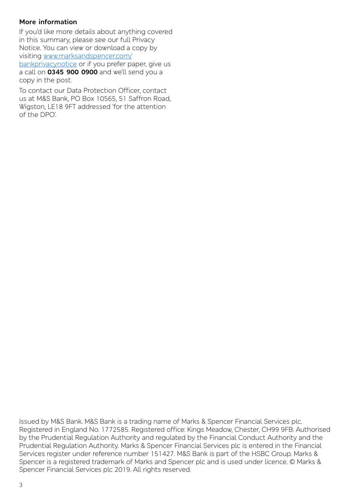# **More information**

If you'd like more details about anything covered in this summary, please see our full Privacy Notice. You can view or download a copy by visiting www.marksandspencer.com/ bankprivacynotice or if you prefer paper, give us

a call on **0345 900 0900** and we'll send you a copy in the post.

To contact our Data Protection Officer, contact us at M&S Bank, PO Box 10565, 51 Saffron Road, Wigston, LE18 9FT addressed 'for the attention of the DPO'.

Issued by M&S Bank. M&S Bank is a trading name of Marks & Spencer Financial Services plc. Registered in England No. 1772585. Registered office: Kings Meadow, Chester, CH99 9FB. Authorised by the Prudential Regulation Authority and regulated by the Financial Conduct Authority and the Prudential Regulation Authority. Marks & Spencer Financial Services plc is entered in the Financial Services register under reference number 151427. M&S Bank is part of the HSBC Group. Marks & Spencer is a registered trademark of Marks and Spencer plc and is used under licence. © Marks & Spencer Financial Services plc 2019. All rights reserved.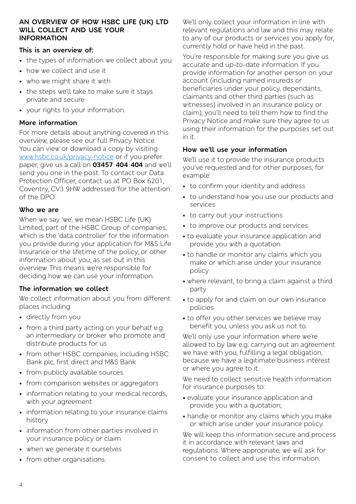#### **AN OVERVIEW OF HOW HSBC LIFE (UK) LTD WILL COLLECT AND USE YOUR INFORMATION**

# **This is an overview of:**

- the types of information we collect about you
- how we collect and use it
- who we might share it with
- the steps we'll take to make sure it stays private and secure
- your rights to your information.

# **More information**

For more details about anything covered in this overview, please see our full Privacy Notice. You can view or download a copy by visiting www.hsbc.co.uk/privacy-notice or if you prefer paper, give us a call on **03457 404 404** and we'll send you one in the post. To contact our Data Protection Officer, contact us at PO Box 6201, Coventry, CV3 9HW addressed 'for the attention of the DPO'.

# **Who we are**

When we say 'we', we mean HSBC Life (UK) Limited, part of the HSBC Group of companies, which is the 'data controller' for the information you provide during your application for M&S Life Insurance or the lifetime of the policy, or other information about you, as set out in this overview. This means we're responsible for deciding how we can use your information.

# **The information we collect**

We collect information about you from different places including:

- directly from you
- from a third party acting on your behalf e.g. an intermediary or broker who promote and distribute products for us
- from other HSBC companies, including HSBC Bank plc, first direct and M&S Bank
- from publicly available sources
- from comparison websites or aggregators
- information relating to your medical records, with your agreement
- information relating to your insurance claims history
- information from other parties involved in your insurance policy or claim
- when we generate it ourselves
- from other organisations.

We'll only collect your information in line with relevant regulations and law and this may relate to any of our products or services you apply for, currently hold or have held in the past.

You're responsible for making sure you give us accurate and up-to-date information. If you provide information for another person on your account (including named insureds or beneficiaries under your policy, dependants, claimants and other third parties (such as witnesses) involved in an insurance policy or claim), you'll need to tell them how to find the Privacy Notice and make sure they agree to us using their information for the purposes set out in it.

# **How we'll use your information**

We'll use it to provide the insurance products you've requested and for other purposes, for .<br>example:

- to confirm your identity and address
- to understand how you use our products and services
- to carry out your instructions
- to improve our products and services
- to evaluate your insurance application and provide you with a quotation
- to handle or monitor any claims which you make or which arise under your insurance policy
- where relevant, to bring a claim against a third party
- to apply for and claim on our own insurance policies
- to offer you other services we believe may benefit you, unless you ask us not to.

We'll only use your information where we're allowed to by law e.g. carrying out an agreement we have with you, fulfilling a legal obligation, because we have a legitimate business interest or where you agree to it.

We need to collect sensitive health information for insurance purposes to:

- evaluate your insurance application and provide you with a quotation;
- handle or monitor any claims which you make or which arise under your insurance policy.

We will keep this information secure and process it in accordance with relevant laws and regulations. Where appropriate, we will ask for consent to collect and use this information.